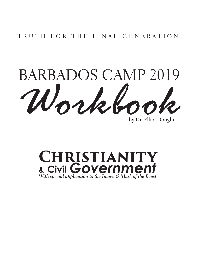TRUTH FOR THE FINAL GENERATION

BARBADOS CAMP 2019 *Workbook*

by Dr. Elliot Douglin

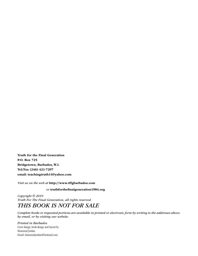Truth for the Final Generation P.O. Box 725 Bridgetown, Barbados, W.I. Tel/Fax (246) 421-7297 email: teachingtruth14@yahoo.com

*Visit us on the web at* http://www.tffgbarbados.com

#### *or* truthforthefinalgeneration1984.org

*Copyright © 2019 Truth For The Final Generation, all rights reserved*

#### *THIS BOOK IS NOT FOR SALE*

*Complete books or requested portions are available in printed or electronic form by writing to the addresses above, by email, or by visiting our website.*

*Printed in Barbados* Cover design, book design and layout by: Shammal Jordan Email: shammaljordan@hotmail.com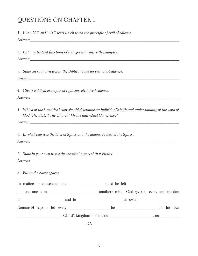*1. List 4 N.T and 1 O.T texts which teach the principle of civil obedience.*

Answer:

*2. List 3 important functions of civil government, with examples:*

Answer:

*3. State ,in your own words, the Biblical basis for civil disobedience.* Answer:\_\_\_\_\_\_\_\_\_\_\_\_\_\_\_\_\_\_\_\_\_\_\_\_\_\_\_\_\_\_\_\_\_\_\_\_\_\_\_\_\_\_\_\_\_\_\_\_\_\_\_\_\_\_\_\_\_\_\_\_\_\_\_\_\_\_\_\_\_\_\_\_\_\_\_\_\_

*4. Give 5 Biblical examples of righteous civil disobedience.* 

Answer:

*5. Which of the 3 entities below should determine an individual's faith and understanding of the word of God. The State ? The Church? Or the individual Conscience?* 

Answer:\_\_\_\_\_\_\_\_\_\_\_\_\_\_\_\_\_\_\_\_\_\_\_\_\_\_\_\_\_\_\_\_\_\_\_\_\_\_\_\_\_\_\_\_\_\_\_\_\_\_\_\_\_\_\_\_\_\_\_\_\_\_\_\_\_\_\_\_\_\_\_\_\_\_\_\_\_

*6. In what year was the Diet of Spires and the famous Protest of the Spires .*

Answer:

*7. State in your own words the essential points of that Protest.*

Answer:

*8. Fill in the blank spaces:*

|                                                                                                                      | In matters of conscience the _______________________must be left_________________ |  |
|----------------------------------------------------------------------------------------------------------------------|-----------------------------------------------------------------------------------|--|
|                                                                                                                      |                                                                                   |  |
|                                                                                                                      |                                                                                   |  |
|                                                                                                                      |                                                                                   |  |
|                                                                                                                      | Christ's kingdom there is no<br>manufactured by the non-                          |  |
| <u>DA DA DE ESCOLADO EN ENTENTE EN ENFERADA EN ENFERADA EN ENFERADA EN EL ENTENDE EN ENFERADA EN EL ENTENDE EN E</u> |                                                                                   |  |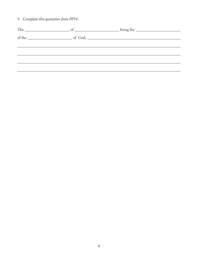9. Complete this quotation from PP34: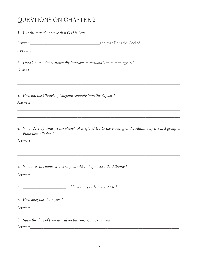*1. List the texts that prove that God is Love.*

|                             | 2. Does God routinely arbitrarily intervene miraculously in human affairs?<br>Discuss: 2008 - 2008 - 2008 - 2008 - 2008 - 2008 - 2008 - 2008 - 2008 - 2008 - 2008 - 2008 - 2008 - 2008 - 200 |
|-----------------------------|----------------------------------------------------------------------------------------------------------------------------------------------------------------------------------------------|
|                             | 3. How did the Church of England separate from the Papacy?                                                                                                                                   |
| Protestant Pilgrims?        | 4. What developments in the church of England led to the crossing of the Atlantic by the first group of                                                                                      |
|                             | 5. What was the name of the ship on which they crossed the Atlantic?                                                                                                                         |
| 6.                          |                                                                                                                                                                                              |
| 7. How long was the voyage? |                                                                                                                                                                                              |
|                             | Answer:                                                                                                                                                                                      |
|                             | 8. State the date of their arrival on the American Continent                                                                                                                                 |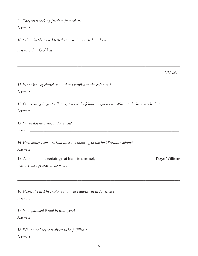*9. They were seeking freedom from what?*

Answer:\_\_\_\_\_\_\_\_\_\_\_\_\_\_\_\_\_\_\_\_\_\_\_\_\_\_\_\_\_\_\_\_\_\_\_\_\_\_\_\_\_\_\_\_\_\_\_\_\_\_\_\_\_\_\_\_\_\_\_\_\_\_\_\_\_\_\_\_\_\_\_\_\_\_\_\_\_

*10. What deeply rooted papal error still impacted on them:*

| $\overline{GC}$ 293.                                                                              |
|---------------------------------------------------------------------------------------------------|
|                                                                                                   |
| 11. What kind of churches did they establish in the colonies?                                     |
| Answer:                                                                                           |
| 12. Concerning Roger Williams, answer the following questions: When and where was he born?        |
|                                                                                                   |
|                                                                                                   |
| 13. When did he arrive in America?                                                                |
|                                                                                                   |
| 14. How many years was that after the planting of the first Puritan Colony?                       |
|                                                                                                   |
|                                                                                                   |
| 15. According to a certain great historian, namely_______________________________, Roger Williams |
|                                                                                                   |
|                                                                                                   |
|                                                                                                   |
| 16. Name the first free colony that was established in America?                                   |
|                                                                                                   |
| 17. Who founded it and in what year?                                                              |
|                                                                                                   |
|                                                                                                   |
| 18. What prophecy was about to be fulfilled?                                                      |
|                                                                                                   |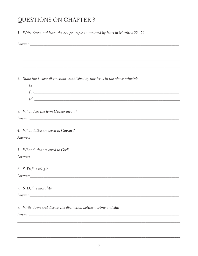1. Write down and learn the key principle enunciated by Jesus in Matthew 22 : 21:

| Answer:                                                                                                        |
|----------------------------------------------------------------------------------------------------------------|
|                                                                                                                |
|                                                                                                                |
| 2. State the 3 clear distinctions established by this Jesus in the above principle                             |
|                                                                                                                |
| (b)                                                                                                            |
|                                                                                                                |
| 3. What does the term Caesar mean?                                                                             |
|                                                                                                                |
| 4. What duties are owed to Caesar?                                                                             |
| Answer: 2008 and 2008 and 2008 and 2008 and 2008 and 2008 and 2008 and 2008 and 2008 and 2008 and 2008 and 200 |
| 5. What duties are owed to God?                                                                                |
| Answer: 2008 2018 2019 2020 2020 2020 2021 2022 2022 2021 2022 2021 2022 2022 2022 2022 2021 2022 2021 2022 20 |
| 6. 5. Define religion.                                                                                         |
| Answer:                                                                                                        |
| 7. 6. Define morality:                                                                                         |
|                                                                                                                |
| 8. Write down and discuss the distinction between crime and sin:                                               |
|                                                                                                                |
|                                                                                                                |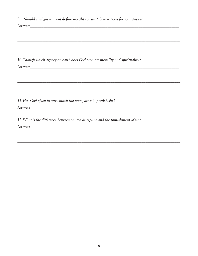| 9. Should civil government define morality or sin ? Give reasons for your answer.                                                                                                                                              |
|--------------------------------------------------------------------------------------------------------------------------------------------------------------------------------------------------------------------------------|
| Answer: and the contract of the contract of the contract of the contract of the contract of the contract of the contract of the contract of the contract of the contract of the contract of the contract of the contract of th |
|                                                                                                                                                                                                                                |
|                                                                                                                                                                                                                                |
|                                                                                                                                                                                                                                |
|                                                                                                                                                                                                                                |
|                                                                                                                                                                                                                                |
| 10. Though which agency on earth does God promote morality and spirituality?                                                                                                                                                   |
| Answer:                                                                                                                                                                                                                        |
|                                                                                                                                                                                                                                |
| ,我们也不会有什么。""我们的人,我们也不会有什么?""我们的人,我们也不会有什么?""我们的人,我们也不会有什么?""我们的人,我们也不会有什么?""我们的人                                                                                                                                               |
|                                                                                                                                                                                                                                |
|                                                                                                                                                                                                                                |
| 11. Has God given to any church the prerogative to punish sin?                                                                                                                                                                 |
| Answer: 2008 and 2008 and 2008 and 2008 and 2008 and 2008 and 2008 and 2008 and 2008 and 2008 and 2008 and 200                                                                                                                 |
|                                                                                                                                                                                                                                |
| 12. What is the difference between church discipline and the punishment of sin?                                                                                                                                                |
|                                                                                                                                                                                                                                |
| Answer: and the contract of the contract of the contract of the contract of the contract of the contract of the contract of the contract of the contract of the contract of the contract of the contract of the contract of th |
| ,我们也不能在这里的时候,我们也不能在这里的时候,我们也不能会在这里,我们也不能会在这里的时候,我们也不能会在这里的时候,我们也不能会在这里的时候,我们也不能会                                                                                                                                               |
|                                                                                                                                                                                                                                |
|                                                                                                                                                                                                                                |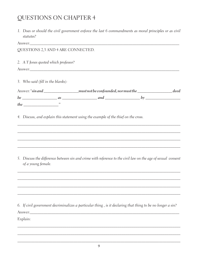| statutes?                            | 1. Does or should the civil government enforce the last 6 commandments as moral principles or as civil       |  |
|--------------------------------------|--------------------------------------------------------------------------------------------------------------|--|
|                                      |                                                                                                              |  |
| QUESTIONS 2,3 AND 4 ARE CONNECTED.   |                                                                                                              |  |
| 2. A T Jones quoted which professor? |                                                                                                              |  |
|                                      |                                                                                                              |  |
| 3. Who said (fill in the blanks):    |                                                                                                              |  |
|                                      | Answer: "sin and ___________________must not be confounded, normust the ___________________deed              |  |
|                                      |                                                                                                              |  |
|                                      |                                                                                                              |  |
| of a young female.                   | 5. Discuss the difference between sin and crime with reference to the civil law on the age of sexual consent |  |
|                                      | 6. If civil government decriminalizes a particular thing, is it declaring that thing to be no longer a sin?  |  |
| Answer:                              |                                                                                                              |  |
| Explain:                             |                                                                                                              |  |
|                                      |                                                                                                              |  |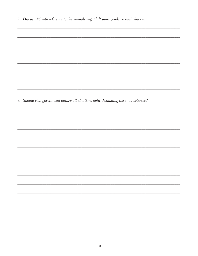7. Discuss #6 with reference to decriminalizing adult same gender sexual relations.

8. Should civil government outlaw all abortions notwithstanding the circumstances?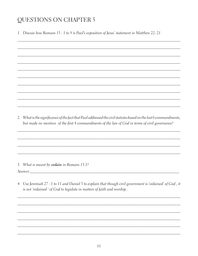1. Discuss how Romans 13 : 1 to 9 is Paul's exposition of Jesus' statement in Matthew 22: 21

2. What is the significance of the fact that Paul addressed the civil statutes based on the last 6 commandments, but made no mention of the first 4 commandments of the law of God in terms of civil governance?

3. What is meant by ordain in Romans 13:1? 

4. Use Jeremiah 27 : 1 to 11 and Daniel 3 to explain that though civil government is 'ordained' of God, it is not 'ordained ' of God to legislate in matters of faith and worship.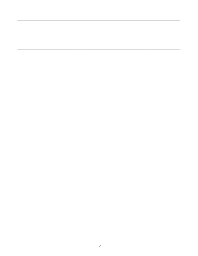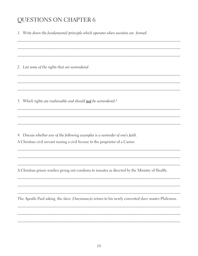1. Write down the fundamental principle which operates when societies are formed.

2. List some of the rights that are surrendered.

3. Which rights are inalienable and should not be surrendered?

4. Discuss whether any of the following examples is a surrender of one's faith. A Christian civil servant issuing a civil license to the proprietor of a Casino

A Christian prison warden giving out condoms to inmates as directed by the Ministry of Health.

The Apostle Paul asking the slave , Onesimus, to return to his newly converted slave master Philemon.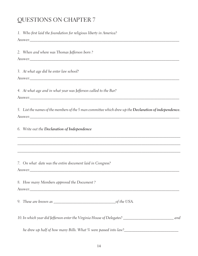*1. Who first laid the foundation for religious liberty in America?*

Answer:

*2. When and where was Thomas Jefferson born ?*

Answer:\_\_\_\_\_\_\_\_\_\_\_\_\_\_\_\_\_\_\_\_\_\_\_\_\_\_\_\_\_\_\_\_\_\_\_\_\_\_\_\_\_\_\_\_\_\_\_\_\_\_\_\_\_\_\_\_\_\_\_\_\_\_\_\_\_\_\_\_\_\_\_\_\_\_\_\_\_

*3. At what age did he enter law school?*

Answer:\_\_\_\_\_\_\_\_\_\_\_\_\_\_\_\_\_\_\_\_\_\_\_\_\_\_\_\_\_\_\_\_\_\_\_\_\_\_\_\_\_\_\_\_\_\_\_\_\_\_\_\_\_\_\_\_\_\_\_\_\_\_\_\_\_\_\_\_\_\_\_\_\_\_\_\_\_

*4. At what age and in what year was Jefferson called to the Bar?* Answer:\_\_\_\_\_\_\_\_\_\_\_\_\_\_\_\_\_\_\_\_\_\_\_\_\_\_\_\_\_\_\_\_\_\_\_\_\_\_\_\_\_\_\_\_\_\_\_\_\_\_\_\_\_\_\_\_\_\_\_\_\_\_\_\_\_\_\_\_\_\_\_\_\_\_\_\_\_

*5. List the names of the members of the 5 man committee which drew up the Declaration of independence.* Answer:\_\_\_\_\_\_\_\_\_\_\_\_\_\_\_\_\_\_\_\_\_\_\_\_\_\_\_\_\_\_\_\_\_\_\_\_\_\_\_\_\_\_\_\_\_\_\_\_\_\_\_\_\_\_\_\_\_\_\_\_\_\_\_\_\_\_\_\_\_\_\_\_\_\_\_\_\_

\_\_\_\_\_\_\_\_\_\_\_\_\_\_\_\_\_\_\_\_\_\_\_\_\_\_\_\_\_\_\_\_\_\_\_\_\_\_\_\_\_\_\_\_\_\_\_\_\_\_\_\_\_\_\_\_\_\_\_\_\_\_\_\_\_\_\_\_\_\_\_\_\_\_\_\_\_\_\_\_\_\_\_\_

\_\_\_\_\_\_\_\_\_\_\_\_\_\_\_\_\_\_\_\_\_\_\_\_\_\_\_\_\_\_\_\_\_\_\_\_\_\_\_\_\_\_\_\_\_\_\_\_\_\_\_\_\_\_\_\_\_\_\_\_\_\_\_\_\_\_\_\_\_\_\_\_\_\_\_\_\_\_\_\_\_\_\_\_

\_\_\_\_\_\_\_\_\_\_\_\_\_\_\_\_\_\_\_\_\_\_\_\_\_\_\_\_\_\_\_\_\_\_\_\_\_\_\_\_\_\_\_\_\_\_\_\_\_\_\_\_\_\_\_\_\_\_\_\_\_\_\_\_\_\_\_\_\_\_\_\_\_\_\_\_\_\_\_\_\_\_\_\_

*6. Write out the Declaration of Independence*

*7. On what date was the entire document laid in Congress?* Answer:\_\_\_\_\_\_\_\_\_\_\_\_\_\_\_\_\_\_\_\_\_\_\_\_\_\_\_\_\_\_\_\_\_\_\_\_\_\_\_\_\_\_\_\_\_\_\_\_\_\_\_\_\_\_\_\_\_\_\_\_\_\_\_\_\_\_\_\_\_\_\_\_\_\_\_\_\_

*8. How many Members approved the Document ?*

Answer:\_\_\_\_\_\_\_\_\_\_\_\_\_\_\_\_\_\_\_\_\_\_\_\_\_\_\_\_\_\_\_\_\_\_\_\_\_\_\_\_\_\_\_\_\_\_\_\_\_\_\_\_\_\_\_\_\_\_\_\_\_\_\_\_\_\_\_\_\_\_\_\_\_\_\_\_\_

*9. These are known as \_\_\_\_\_\_\_\_\_\_\_\_\_\_\_\_\_\_\_\_\_\_\_\_\_\_\_\_\_\_\_\_of the USA.*

*10. In which year did Jefferson enter the Virginia House of Delegates? \_\_\_\_\_\_\_\_\_\_\_\_\_\_\_\_\_\_\_\_\_\_\_\_\_\_ and* 

*he drew up half of how many Bills. What % were passed into law?\_\_\_\_\_\_\_\_\_\_\_\_\_\_\_\_\_\_\_\_\_\_\_\_*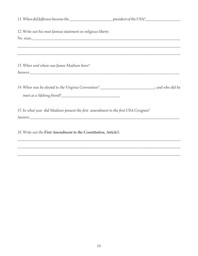| 11. When did Jefferson become the ____________________________president of the USA?_______________________ |  |
|------------------------------------------------------------------------------------------------------------|--|
| 12. Write out his most famous statement on religious liberty:<br>No man                                    |  |
|                                                                                                            |  |
| 13. When and where was James Madison born?<br>Answer:                                                      |  |
| 14. When was he elected to the Virginia Convention? _________________________; and who did he              |  |
| 15. In what year did Madison present the first amendment to the first USA Congress?                        |  |
| 16. Write out the First Amendment to the Constitution, Article1.                                           |  |

\_\_\_\_\_\_\_\_\_\_\_\_\_\_\_\_\_\_\_\_\_\_\_\_\_\_\_\_\_\_\_\_\_\_\_\_\_\_\_\_\_\_\_\_\_\_\_\_\_\_\_\_\_\_\_\_\_\_\_\_\_\_\_\_\_\_\_\_\_\_\_\_\_\_\_\_\_\_\_\_\_\_\_\_

\_\_\_\_\_\_\_\_\_\_\_\_\_\_\_\_\_\_\_\_\_\_\_\_\_\_\_\_\_\_\_\_\_\_\_\_\_\_\_\_\_\_\_\_\_\_\_\_\_\_\_\_\_\_\_\_\_\_\_\_\_\_\_\_\_\_\_\_\_\_\_\_\_\_\_\_\_\_\_\_\_\_\_\_

\_\_\_\_\_\_\_\_\_\_\_\_\_\_\_\_\_\_\_\_\_\_\_\_\_\_\_\_\_\_\_\_\_\_\_\_\_\_\_\_\_\_\_\_\_\_\_\_\_\_\_\_\_\_\_\_\_\_\_\_\_\_\_\_\_\_\_\_\_\_\_\_\_\_\_\_\_\_\_\_\_\_\_\_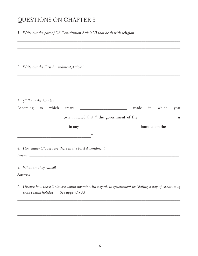| 1. Write out the part of US Constitution Article VI that deals with religion.                                                                         |  |       |      |
|-------------------------------------------------------------------------------------------------------------------------------------------------------|--|-------|------|
|                                                                                                                                                       |  |       |      |
|                                                                                                                                                       |  |       |      |
| 2. Write out the First Amendment, Article 1                                                                                                           |  |       |      |
|                                                                                                                                                       |  |       |      |
| 3. (Fill out the blanks)                                                                                                                              |  |       |      |
| According to which treaty _______________________ made in                                                                                             |  | which | year |
|                                                                                                                                                       |  |       |      |
| $\frac{1}{2}$ in any $\frac{1}{2}$ in any $\frac{1}{2}$ founded on the $\frac{1}{2}$                                                                  |  |       |      |
| <u> 2008 - Andrea Andrew Maria (h. 1878).</u><br>4. How many Clauses are there in the First Amendment?                                                |  |       |      |
| 5. What are they called?                                                                                                                              |  |       |      |
| Answer:                                                                                                                                               |  |       |      |
| 6. Discuss how these 2 clauses would operate with regards to government legislating a day of cessation of<br>work ('bank holiday') : (See appendix A) |  |       |      |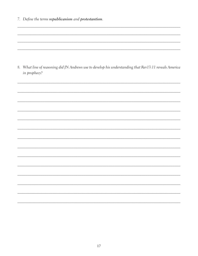7. Define the terms republicanism and protestantism.

8. What line of reasoning did JN Andrews use to develop his understanding that Rev13:11 reveals America in prophecy?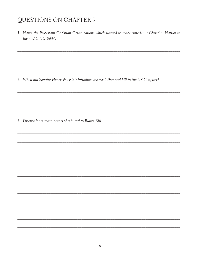1. Name the Protestant Christian Organizations which wanted to make America a Christian Nation in the mid to late 1800's

2. When did Senator Henry W. Blair introduce his resolution and bill to the US Congress?

3. Discuss Jones main points of rebuttal to Blair's Bill.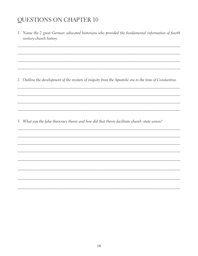1. Name the 2 great German -educated historians who provided the fundamental information of fourth century church history.

2. Outline the development of the mystery of iniquity from the Apostolic era to the time of Constantine.

3. What was the false theocracy theory and how did that theory facilitate church -state union?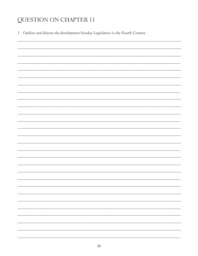1. Outline and discuss the development Sunday Legislation in the Fourth Century.

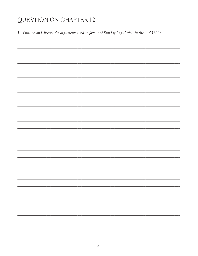1. Outline and discuss the arguments used in favour of Sunday Legislation in the mid 1800's

| - |
|---|
|   |
|   |
| - |
|   |
|   |
| — |
|   |
|   |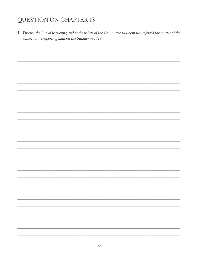1. Discuss the line of reasoning and main points of the Committee to whom was referred the matter of the subject of transporting mail on the Sunday in 1829.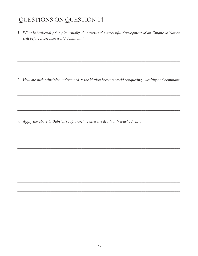#### QUESTIONS ON QUESTION 14

1. What behavioural principles usually characterise the successful development of an Empire or Nation well before it becomes world dominant?

2. How are such principles undermined as the Nation becomes world conquering, wealthy and dominant.

3. Apply the above to Babylon's rapid decline after the death of Nebuchadnezzar.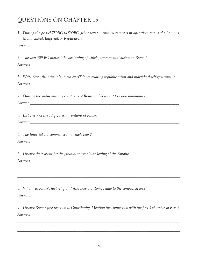| 1. During the period 759BC to 509BC, what governmental system was in operation among the Romans?<br>Monarchical, Imperial, or Republican.                                                                                                                                                                                                             |
|-------------------------------------------------------------------------------------------------------------------------------------------------------------------------------------------------------------------------------------------------------------------------------------------------------------------------------------------------------|
| Answer:                                                                                                                                                                                                                                                                                                                                               |
| 2. The year 509 BC marked the beginning of which governmental system in Rome?                                                                                                                                                                                                                                                                         |
| Answer: and the contract of the contract of the contract of the contract of the contract of the contract of the contract of the contract of the contract of the contract of the contract of the contract of the contract of th                                                                                                                        |
| 3. Write down the principle stated by AT Jones relating republicanism and individual self government.<br>Answer: and the contract of the contract of the contract of the contract of the contract of the contract of the contract of the contract of the contract of the contract of the contract of the contract of the contract of th               |
| 4. Outline the main military conquests of Rome on her ascent to world dominance.<br>Answer: Answer and Answer and Answer and Answer and Answer and Answer and Answer and Answer and Answer and Answer and Answer and Answer and Answer and Answer and Answer and Answer and Answer and Answer and Answer and Answe                                    |
| 5. List any 7 of the 17 greatest inventions of Rome.<br>Answer: and the contract of the contract of the contract of the contract of the contract of the contract of the contract of the contract of the contract of the contract of the contract of the contract of the contract of th                                                                |
| 6. The Imperial era commenced in which year?<br>Answer: 2008 and 2008 and 2008 and 2008 and 2008 and 2008 and 2008 and 2008 and 2008 and 2008 and 2008 and 200                                                                                                                                                                                        |
| 7. Discuss the reasons for the gradual internal weakening of the Empire                                                                                                                                                                                                                                                                               |
| <u> 1989 - Johann Stoff, fransk politik (d. 1989)</u>                                                                                                                                                                                                                                                                                                 |
| 8. What was Rome's first religion ? And how did Rome relate to the conquered Jews?                                                                                                                                                                                                                                                                    |
| 9. Discuss Rome's first reaction to Christianity. Mention the connection with the first 3 churches of Rev. 2.<br>Answer: <u>Constantine and the set of the set of the set of the set of the set of the set of the set of the set of the set of the set of the set of the set of the set of the set of the set of the set of the set of the set of</u> |
| ,我们也不能在这里的时候,我们也不能在这里的时候,我们也不能会在这里的时候,我们也不能会在这里的时候,我们也不能会在这里的时候,我们也不能会在这里的时候,我们也不                                                                                                                                                                                                                                                                     |

\_\_\_\_\_\_\_\_\_\_\_\_\_\_\_\_\_\_\_\_\_\_\_\_\_\_\_\_\_\_\_\_\_\_\_\_\_\_\_\_\_\_\_\_\_\_\_\_\_\_\_\_\_\_\_\_\_\_\_\_\_\_\_\_\_\_\_\_\_\_\_\_\_\_\_\_\_\_\_\_\_\_\_\_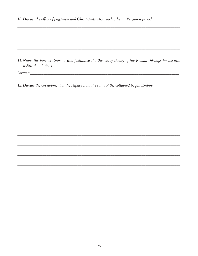| 10. Discuss the effect of paganism and Christianity upon each other in Pergamos period. |  |
|-----------------------------------------------------------------------------------------|--|
|-----------------------------------------------------------------------------------------|--|

11. Name the famous Emperor who facilitated the theocracy theory of the Roman bishops for his own political ambitions.

12. Discuss the development of the Papacy from the ruins of the collapsed pagan Empire.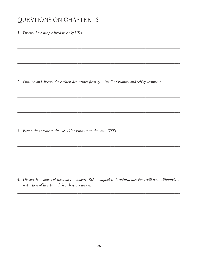1. Discuss how people lived in early USA.

2. Outline and discuss the earliest departures from genuine Christianity and self-government

3. Recap the threats to the USA Constitution in the late 1800's.

4. Discuss how abuse of freedom in modern USA, coupled with natural disasters, will lead ultimately to restriction of liberty and church -state union.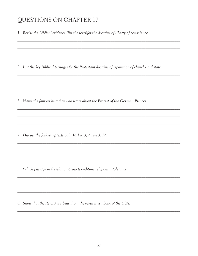1. Revise the Biblical evidence (list the texts) for the doctrine of liberty of conscience.

2. List the key Biblical passages for the Protestant doctrine of separation of church- and state.

3. Name the famous historian who wrote about the Protest of the German Princes.

4. Discuss the following texts: John16:1 to 3; 2 Tim 3: 12.

5. Which passage in Revelation predicts end-time religious intolerance?

6. Show that the Rev.13 :11 beast from the earth is symbolic of the USA.